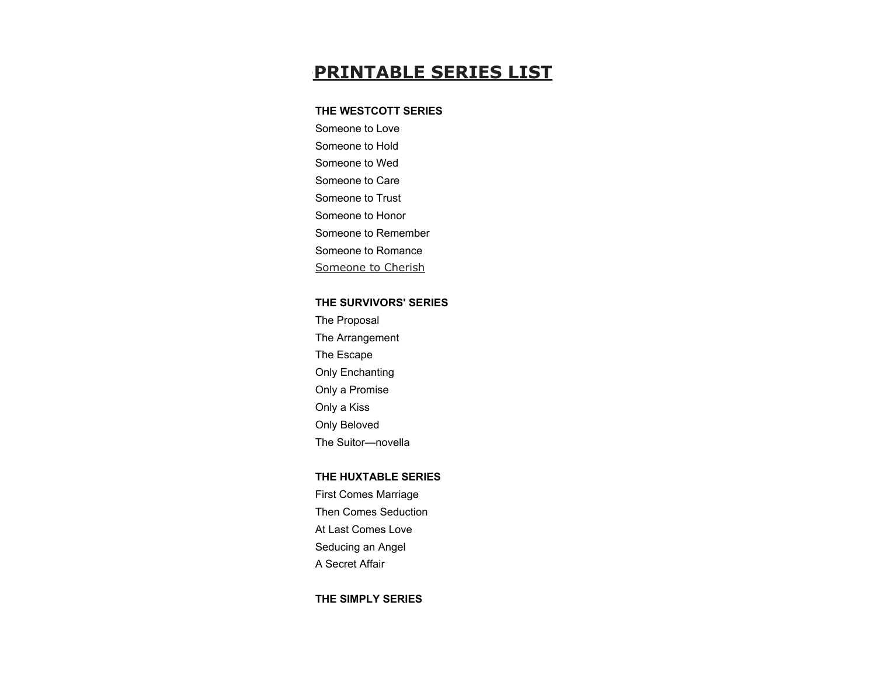# **PRINTABLE SERIES LIST**

# **THE WESTCOTT SERIES**

Someone to Love Someone to Hold

Someone to Wed

Someone to Care

Someone to Trust

Someone to Honor

Someone to Remember

Someone to Romance

Someone to Cherish

## **THE SURVIVORS' SERIES**

The Proposal The Arrangement The Escape Only Enchanting Only a Promise Only a Kiss Only Beloved The Suitor—novella

### **THE HUXTABLE SERIES**

First Comes Marriage Then Comes Seduction At Last Comes Love Seducing an Angel A Secret Affair

## **THE SIMPLY SERIES**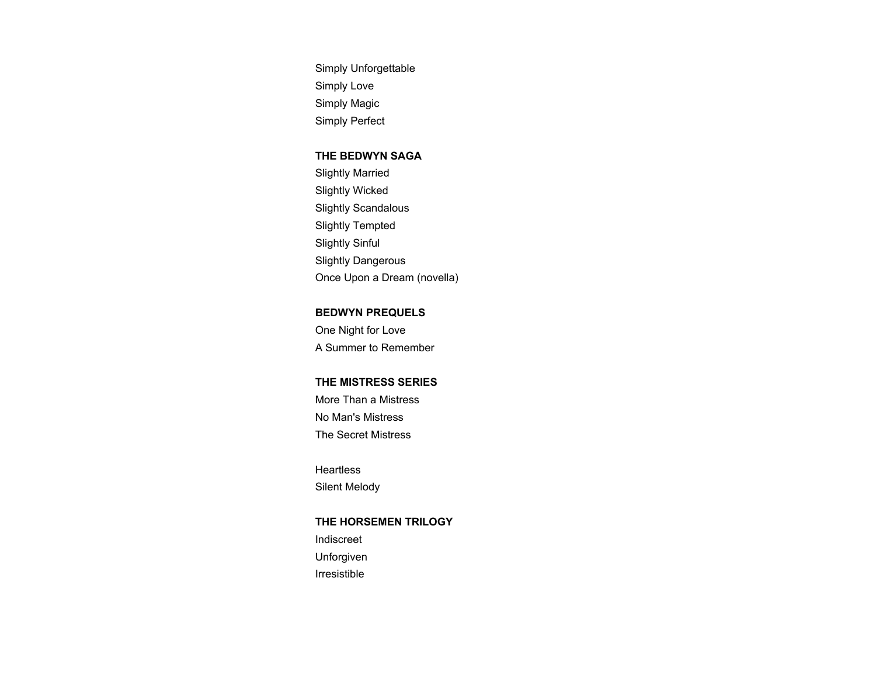Simply Unforgettable Simply Love Simply Magic Simply Perfect

#### **THE BEDWYN SAGA**

Slightly Married Slightly Wicked Slightly Scandalous Slightly Tempted Slightly Sinful Slightly Dangerous Once Upon a Dream (novella)

## **BEDWYN PREQUELS**

One Night for Love A Summer to Remember

# **THE MISTRESS SERIES**

More Than a Mistress No Man's Mistress The Secret Mistress

**Heartless** Silent Melody

# **THE HORSEMEN TRILOGY**

Indiscreet Unforgiven Irresistible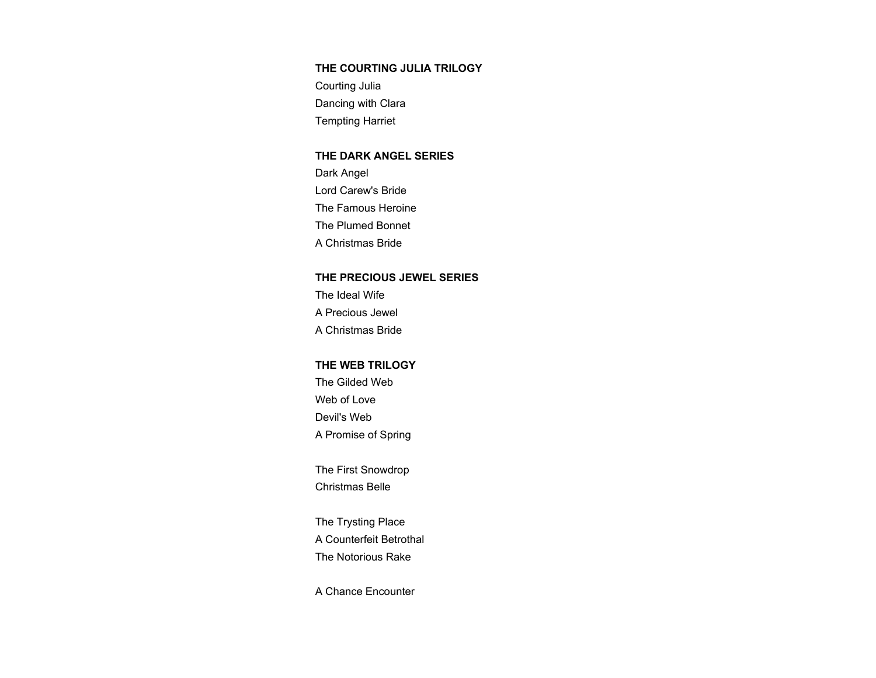# **THE COURTING JULIA TRILOGY**

Courting Julia Dancing with Clara Tempting Harriet

#### **THE DARK ANGEL SERIES**

Dark Angel Lord Carew's Bride The Famous Heroine The Plumed Bonnet A Christmas Bride

### **THE PRECIOUS JEWEL SERIES**

The Ideal Wife A Precious Jewel A Christmas Bride

#### **THE WEB TRILOGY**

The Gilded Web Web of Love Devil's Web A Promise of Spring

The First Snowdrop Christmas Belle

The Trysting Place A Counterfeit Betrothal The Notorious Rake

A Chance Encounter